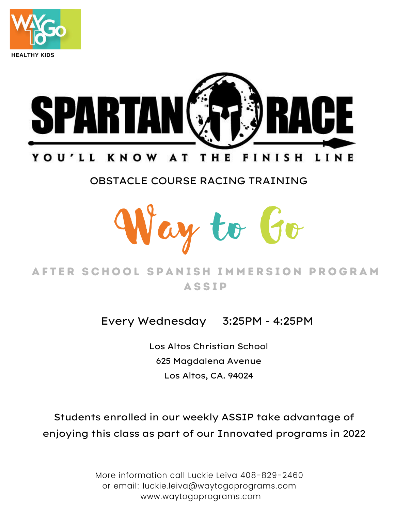



## OBSTACLE COURSE RACING TRAINING



## AFTER SCHOOL SPANISH IMMERSION PROGRAM **ASSIP**

Every Wednesday 3:25PM - 4:25PM

Los Altos Christian School 625 Magdalena Avenue Los Altos, CA. 94024

Students enrolled in our weekly ASSIP take advantage of enjoying this class as part of our Innovated programs in 2022

> More information call Luckie Leiva 408-829-2460 or email: luckie.leiva@waytogoprograms.com www.waytogoprograms.com